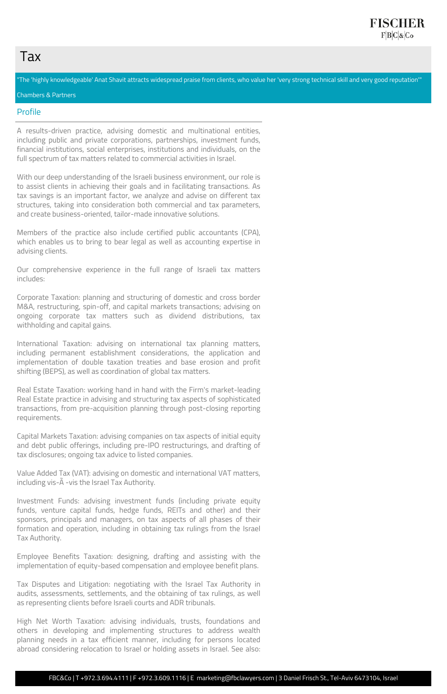# Tax

"The 'highly knowledgeable' Anat Shavit attracts widespread praise from clients, who value her 'very strong technical skill and very good reputation'"

Chambers & Partners

#### Profile

A results-driven practice, advising domestic and multinational entities, including public and private corporations, partnerships, investment funds, financial institutions, social enterprises, institutions and individuals, on the full spectrum of tax matters related to commercial activities in Israel.

With our deep understanding of the Israeli business environment, our role is to assist clients in achieving their goals and in facilitating transactions. As tax savings is an important factor, we analyze and advise on different tax structures, taking into consideration both commercial and tax parameters, and create business-oriented, tailor-made innovative solutions.

Members of the practice also include certified public accountants (CPA), which enables us to bring to bear legal as well as accounting expertise in advising clients.

Our comprehensive experience in the full range of Israeli tax matters includes:

Corporate Taxation: planning and structuring of domestic and cross border M&A, restructuring, spin-off, and capital markets transactions; advising on ongoing corporate tax matters such as dividend distributions, tax withholding and capital gains.

International Taxation: advising on international tax planning matters, including permanent establishment considerations, the application and implementation of double taxation treaties and base erosion and profit shifting (BEPS), as well as coordination of global tax matters.

Real Estate Taxation: working hand in hand with the Firm's market-leading Real Estate practice in advising and structuring tax aspects of sophisticated transactions, from pre-acquisition planning through post-closing reporting requirements.

Capital Markets Taxation: advising companies on tax aspects of initial equity and debt public offerings, including pre-IPO restructurings, and drafting of tax disclosures; ongoing tax advice to listed companies.

Value Added Tax (VAT): advising on domestic and international VAT matters, including vis-Ã -vis the Israel Tax Authority.

Investment Funds: advising investment funds (including private equity funds, venture capital funds, hedge funds, REITs and other) and their sponsors, principals and managers, on tax aspects of all phases of their formation and operation, including in obtaining tax rulings from the Israel Tax Authority.

Employee Benefits Taxation: designing, drafting and assisting with the implementation of equity-based compensation and employee benefit plans.

Tax Disputes and Litigation: negotiating with the Israel Tax Authority in audits, assessments, settlements, and the obtaining of tax rulings, as well as representing clients before Israeli courts and ADR tribunals.

High Net Worth Taxation: advising individuals, trusts, foundations and others in developing and implementing structures to address wealth planning needs in a tax efficient manner, including for persons located abroad considering relocation to Israel or holding assets in Israel. See also:

FBC&Co | T +972.3.694.4111 | F +972.3.609.1116 | E marketing@fbclawyers.com | 3 Daniel Frisch St., Tel-Aviv 6473104, Israel